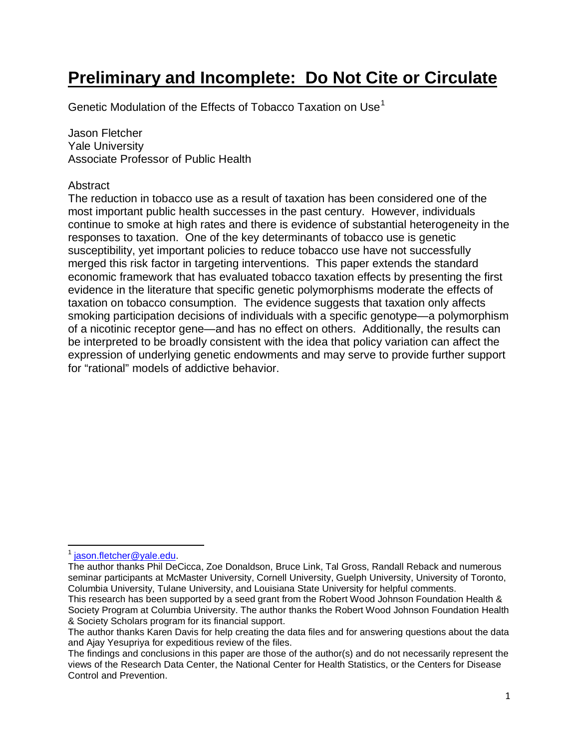# **Preliminary and Incomplete: Do Not Cite or Circulate**

Genetic Modulation of the Effects of Tobacco Taxation on Use<sup>[1](#page-0-0)</sup>

Jason Fletcher Yale University Associate Professor of Public Health

## Abstract

The reduction in tobacco use as a result of taxation has been considered one of the most important public health successes in the past century. However, individuals continue to smoke at high rates and there is evidence of substantial heterogeneity in the responses to taxation. One of the key determinants of tobacco use is genetic susceptibility, yet important policies to reduce tobacco use have not successfully merged this risk factor in targeting interventions. This paper extends the standard economic framework that has evaluated tobacco taxation effects by presenting the first evidence in the literature that specific genetic polymorphisms moderate the effects of taxation on tobacco consumption. The evidence suggests that taxation only affects smoking participation decisions of individuals with a specific genotype—a polymorphism of a nicotinic receptor gene—and has no effect on others. Additionally, the results can be interpreted to be broadly consistent with the idea that policy variation can affect the expression of underlying genetic endowments and may serve to provide further support for "rational" models of addictive behavior.

<span id="page-0-0"></span><sup>&</sup>lt;sup>1</sup> [jason.fletcher@yale.edu.](mailto:jason.fletcher@yale.edu)

The author thanks Phil DeCicca, Zoe Donaldson, Bruce Link, Tal Gross, Randall Reback and numerous seminar participants at McMaster University, Cornell University, Guelph University, University of Toronto, Columbia University, Tulane University, and Louisiana State University for helpful comments.

This research has been supported by a seed grant from the Robert Wood Johnson Foundation Health & Society Program at Columbia University. The author thanks the Robert Wood Johnson Foundation Health & Society Scholars program for its financial support.

The author thanks Karen Davis for help creating the data files and for answering questions about the data and Ajay Yesupriya for expeditious review of the files.

The findings and conclusions in this paper are those of the author(s) and do not necessarily represent the views of the Research Data Center, the National Center for Health Statistics, or the Centers for Disease Control and Prevention.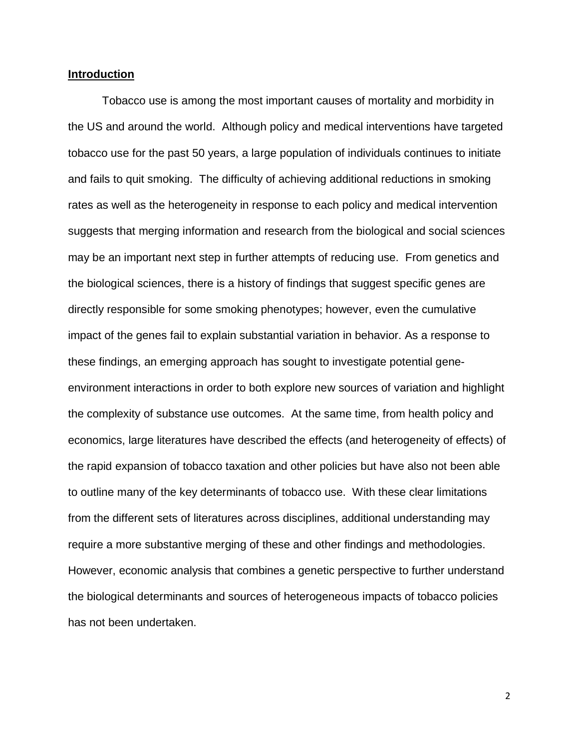#### **Introduction**

Tobacco use is among the most important causes of mortality and morbidity in the US and around the world. Although policy and medical interventions have targeted tobacco use for the past 50 years, a large population of individuals continues to initiate and fails to quit smoking. The difficulty of achieving additional reductions in smoking rates as well as the heterogeneity in response to each policy and medical intervention suggests that merging information and research from the biological and social sciences may be an important next step in further attempts of reducing use. From genetics and the biological sciences, there is a history of findings that suggest specific genes are directly responsible for some smoking phenotypes; however, even the cumulative impact of the genes fail to explain substantial variation in behavior. As a response to these findings, an emerging approach has sought to investigate potential geneenvironment interactions in order to both explore new sources of variation and highlight the complexity of substance use outcomes. At the same time, from health policy and economics, large literatures have described the effects (and heterogeneity of effects) of the rapid expansion of tobacco taxation and other policies but have also not been able to outline many of the key determinants of tobacco use. With these clear limitations from the different sets of literatures across disciplines, additional understanding may require a more substantive merging of these and other findings and methodologies. However, economic analysis that combines a genetic perspective to further understand the biological determinants and sources of heterogeneous impacts of tobacco policies has not been undertaken.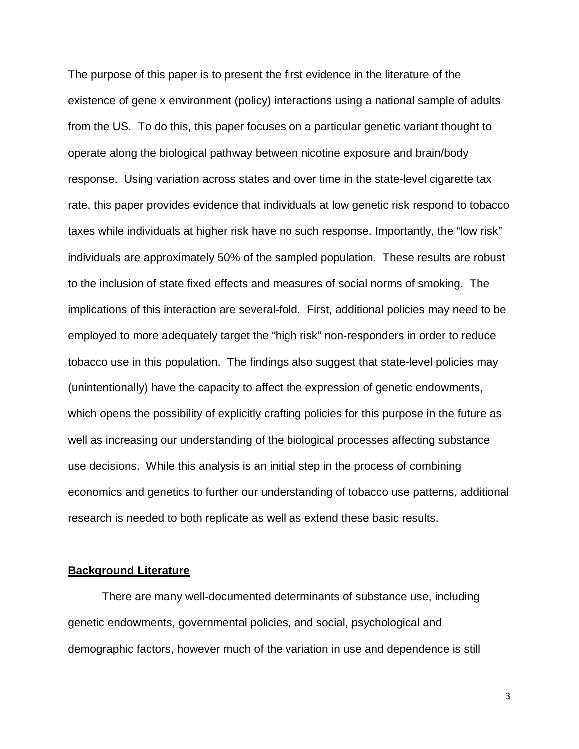The purpose of this paper is to present the first evidence in the literature of the existence of gene x environment (policy) interactions using a national sample of adults from the US. To do this, this paper focuses on a particular genetic variant thought to operate along the biological pathway between nicotine exposure and brain/body response. Using variation across states and over time in the state-level cigarette tax rate, this paper provides evidence that individuals at low genetic risk respond to tobacco taxes while individuals at higher risk have no such response. Importantly, the "low risk" individuals are approximately 50% of the sampled population. These results are robust to the inclusion of state fixed effects and measures of social norms of smoking. The implications of this interaction are several-fold. First, additional policies may need to be employed to more adequately target the "high risk" non-responders in order to reduce tobacco use in this population. The findings also suggest that state-level policies may (unintentionally) have the capacity to affect the expression of genetic endowments, which opens the possibility of explicitly crafting policies for this purpose in the future as well as increasing our understanding of the biological processes affecting substance use decisions. While this analysis is an initial step in the process of combining economics and genetics to further our understanding of tobacco use patterns, additional research is needed to both replicate as well as extend these basic results.

#### **Background Literature**

There are many well-documented determinants of substance use, including genetic endowments, governmental policies, and social, psychological and demographic factors, however much of the variation in use and dependence is still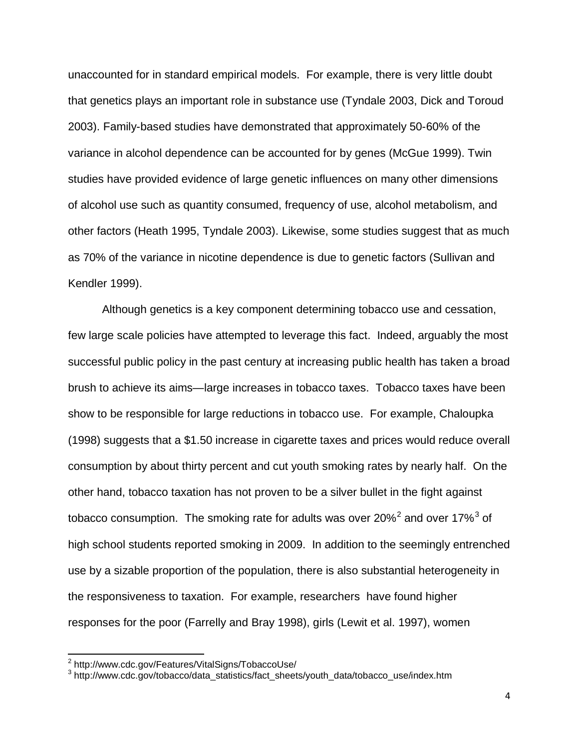unaccounted for in standard empirical models. For example, there is very little doubt that genetics plays an important role in substance use (Tyndale 2003, Dick and Toroud 2003). Family-based studies have demonstrated that approximately 50-60% of the variance in alcohol dependence can be accounted for by genes (McGue 1999). Twin studies have provided evidence of large genetic influences on many other dimensions of alcohol use such as quantity consumed, frequency of use, alcohol metabolism, and other factors (Heath 1995, Tyndale 2003). Likewise, some studies suggest that as much as 70% of the variance in nicotine dependence is due to genetic factors (Sullivan and Kendler 1999).

Although genetics is a key component determining tobacco use and cessation, few large scale policies have attempted to leverage this fact. Indeed, arguably the most successful public policy in the past century at increasing public health has taken a broad brush to achieve its aims—large increases in tobacco taxes. Tobacco taxes have been show to be responsible for large reductions in tobacco use. For example, Chaloupka (1998) suggests that a \$1.50 increase in cigarette taxes and prices would reduce overall consumption by about thirty percent and cut youth smoking rates by nearly half. On the other hand, tobacco taxation has not proven to be a silver bullet in the fight against tobacco consumption. The smoking rate for adults was over [2](#page-3-0)0%<sup>2</sup> and over 17%<sup>[3](#page-3-1)</sup> of high school students reported smoking in 2009. In addition to the seemingly entrenched use by a sizable proportion of the population, there is also substantial heterogeneity in the responsiveness to taxation. For example, researchers have found higher responses for the poor (Farrelly and Bray 1998), girls (Lewit et al. 1997), women

 $\frac{2}{\pi}$ http://www.cdc.gov/Features/VitalSigns/TobaccoUse/

<span id="page-3-1"></span><span id="page-3-0"></span><sup>&</sup>lt;sup>3</sup> http://www.cdc.gov/tobacco/data\_statistics/fact\_sheets/youth\_data/tobacco\_use/index.htm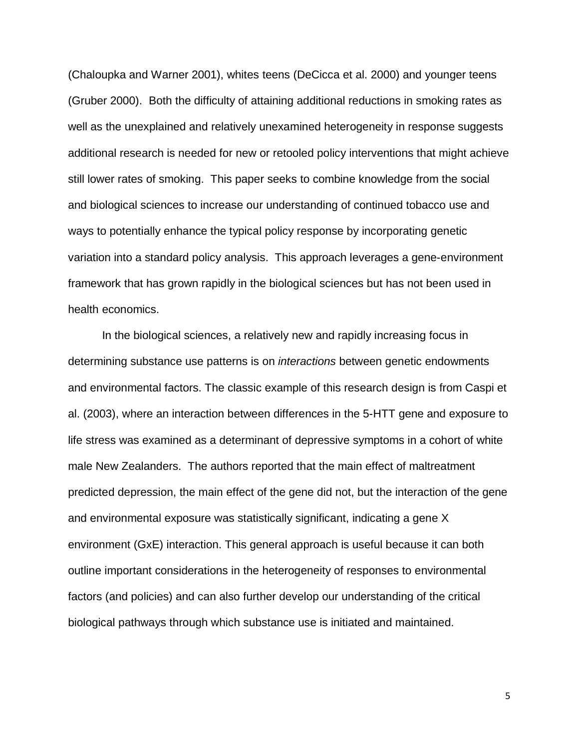(Chaloupka and Warner 2001), whites teens (DeCicca et al. 2000) and younger teens (Gruber 2000). Both the difficulty of attaining additional reductions in smoking rates as well as the unexplained and relatively unexamined heterogeneity in response suggests additional research is needed for new or retooled policy interventions that might achieve still lower rates of smoking. This paper seeks to combine knowledge from the social and biological sciences to increase our understanding of continued tobacco use and ways to potentially enhance the typical policy response by incorporating genetic variation into a standard policy analysis. This approach leverages a gene-environment framework that has grown rapidly in the biological sciences but has not been used in health economics.

In the biological sciences, a relatively new and rapidly increasing focus in determining substance use patterns is on *interactions* between genetic endowments and environmental factors. The classic example of this research design is from Caspi et al. (2003), where an interaction between differences in the 5-HTT gene and exposure to life stress was examined as a determinant of depressive symptoms in a cohort of white male New Zealanders. The authors reported that the main effect of maltreatment predicted depression, the main effect of the gene did not, but the interaction of the gene and environmental exposure was statistically significant, indicating a gene X environment (GxE) interaction. This general approach is useful because it can both outline important considerations in the heterogeneity of responses to environmental factors (and policies) and can also further develop our understanding of the critical biological pathways through which substance use is initiated and maintained.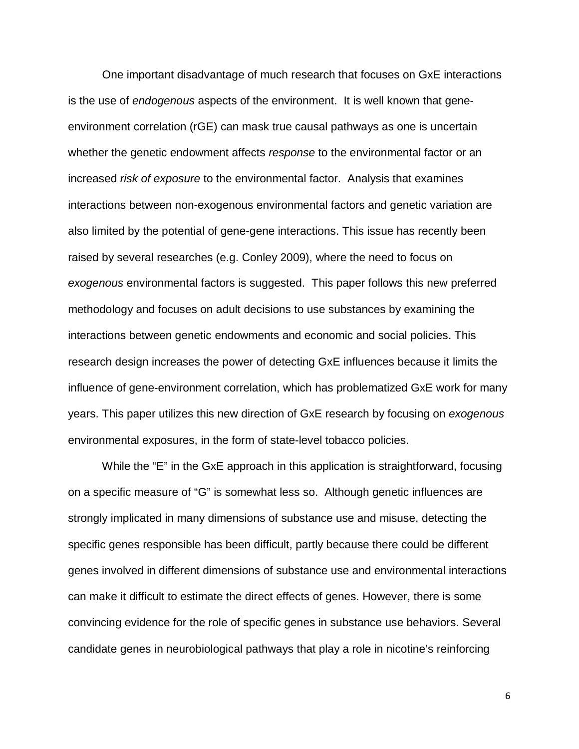One important disadvantage of much research that focuses on GxE interactions is the use of *endogenous* aspects of the environment. It is well known that geneenvironment correlation (rGE) can mask true causal pathways as one is uncertain whether the genetic endowment affects *response* to the environmental factor or an increased *risk of exposure* to the environmental factor. Analysis that examines interactions between non-exogenous environmental factors and genetic variation are also limited by the potential of gene-gene interactions. This issue has recently been raised by several researches (e.g. Conley 2009), where the need to focus on *exogenous* environmental factors is suggested. This paper follows this new preferred methodology and focuses on adult decisions to use substances by examining the interactions between genetic endowments and economic and social policies. This research design increases the power of detecting GxE influences because it limits the influence of gene-environment correlation, which has problematized GxE work for many years. This paper utilizes this new direction of GxE research by focusing on *exogenous* environmental exposures, in the form of state-level tobacco policies.

While the "E" in the GxE approach in this application is straightforward, focusing on a specific measure of "G" is somewhat less so. Although genetic influences are strongly implicated in many dimensions of substance use and misuse, detecting the specific genes responsible has been difficult, partly because there could be different genes involved in different dimensions of substance use and environmental interactions can make it difficult to estimate the direct effects of genes. However, there is some convincing evidence for the role of specific genes in substance use behaviors. Several candidate genes in neurobiological pathways that play a role in nicotine's reinforcing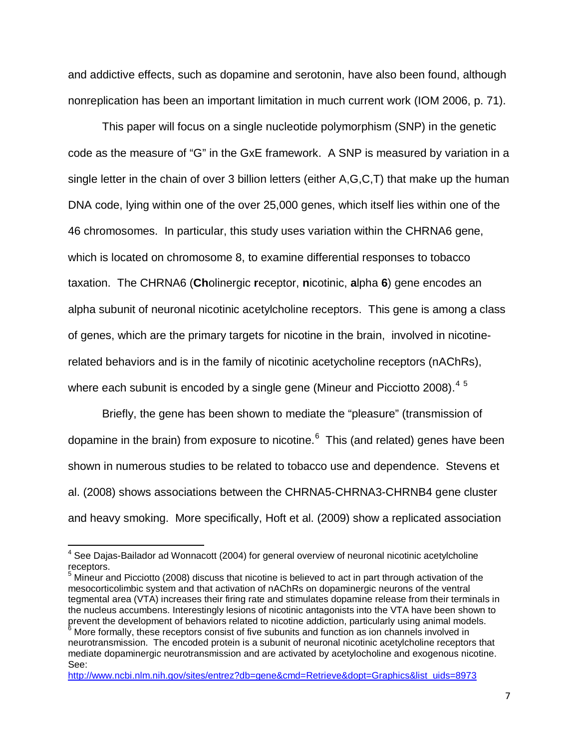and addictive effects, such as dopamine and serotonin, have also been found, although nonreplication has been an important limitation in much current work (IOM 2006, p. 71).

This paper will focus on a single nucleotide polymorphism (SNP) in the genetic code as the measure of "G" in the GxE framework. A SNP is measured by variation in a single letter in the chain of over 3 billion letters (either A,G,C,T) that make up the human DNA code, lying within one of the over 25,000 genes, which itself lies within one of the 46 chromosomes. In particular, this study uses variation within the CHRNA6 gene, which is located on chromosome 8, to examine differential responses to tobacco taxation. The CHRNA6 (**Ch**olinergic **r**eceptor, **n**icotinic, **a**lpha **6**) gene encodes an alpha subunit of neuronal nicotinic acetylcholine receptors. This gene is among a class of genes, which are the primary targets for nicotine in the brain, involved in nicotinerelated behaviors and is in the family of nicotinic acetycholine receptors (nAChRs), where each subunit is encoded by a single gene (Mineur and Picciotto 2008). $^{\rm 4}$  $^{\rm 4}$  $^{\rm 4}$  <sup>[5](#page-6-1)</sup>

Briefly, the gene has been shown to mediate the "pleasure" (transmission of dopamine in the brain) from exposure to nicotine.<sup>[6](#page-6-2)</sup> This (and related) genes have been shown in numerous studies to be related to tobacco use and dependence. Stevens et al. (2008) shows associations between the CHRNA5-CHRNA3-CHRNB4 gene cluster and heavy smoking. More specifically, Hoft et al. (2009) show a replicated association

<span id="page-6-0"></span> $4$  See Dajas-Bailador ad Wonnacott (2004) for general overview of neuronal nicotinic acetylcholine receptors.

<span id="page-6-1"></span> $5$  Mineur and Picciotto (2008) discuss that nicotine is believed to act in part through activation of the mesocorticolimbic system and that activation of nAChRs on dopaminergic neurons of the ventral tegmental area (VTA) increases their firing rate and stimulates dopamine release from their terminals in the nucleus accumbens. Interestingly lesions of nicotinic antagonists into the VTA have been shown to prevent the development of behaviors related to nicotine addiction, particularly using animal models.

<span id="page-6-2"></span>More formally, these receptors consist of five subunits and function as ion channels involved in neurotransmission. The encoded protein is a subunit of neuronal nicotinic acetylcholine receptors that mediate dopaminergic neurotransmission and are activated by acetylocholine and exogenous nicotine. See:

[http://www.ncbi.nlm.nih.gov/sites/entrez?db=gene&cmd=Retrieve&dopt=Graphics&list\\_uids=8973](http://www.ncbi.nlm.nih.gov/sites/entrez?db=gene&cmd=Retrieve&dopt=Graphics&list_uids=8973)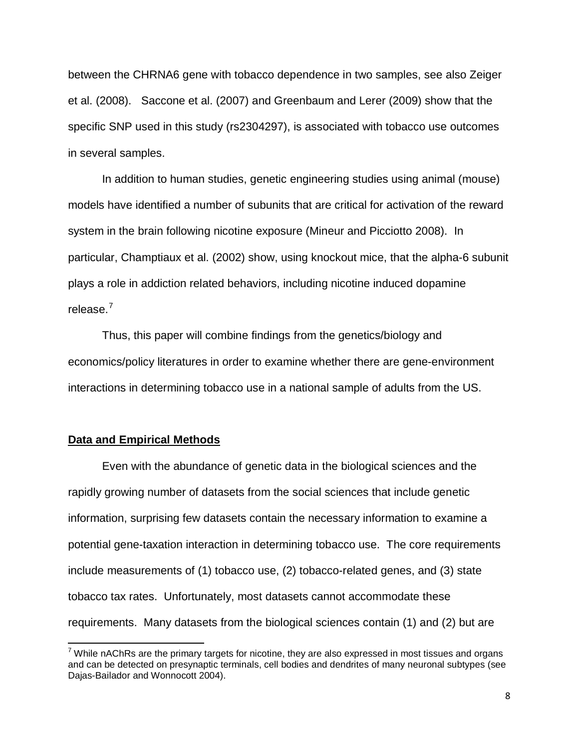between the CHRNA6 gene with tobacco dependence in two samples, see also Zeiger et al. (2008). Saccone et al. (2007) and Greenbaum and Lerer (2009) show that the specific SNP used in this study (rs2304297), is associated with tobacco use outcomes in several samples.

In addition to human studies, genetic engineering studies using animal (mouse) models have identified a number of subunits that are critical for activation of the reward system in the brain following nicotine exposure (Mineur and Picciotto 2008). In particular, Champtiaux et al. (2002) show, using knockout mice, that the alpha-6 subunit plays a role in addiction related behaviors, including nicotine induced dopamine release.<sup>[7](#page-7-0)</sup>

Thus, this paper will combine findings from the genetics/biology and economics/policy literatures in order to examine whether there are gene-environment interactions in determining tobacco use in a national sample of adults from the US.

#### **Data and Empirical Methods**

Even with the abundance of genetic data in the biological sciences and the rapidly growing number of datasets from the social sciences that include genetic information, surprising few datasets contain the necessary information to examine a potential gene-taxation interaction in determining tobacco use. The core requirements include measurements of (1) tobacco use, (2) tobacco-related genes, and (3) state tobacco tax rates. Unfortunately, most datasets cannot accommodate these requirements. Many datasets from the biological sciences contain (1) and (2) but are

<span id="page-7-0"></span> $^7$  While nAChRs are the primary targets for nicotine, they are also expressed in most tissues and organs and can be detected on presynaptic terminals, cell bodies and dendrites of many neuronal subtypes (see Dajas-Bailador and Wonnocott 2004).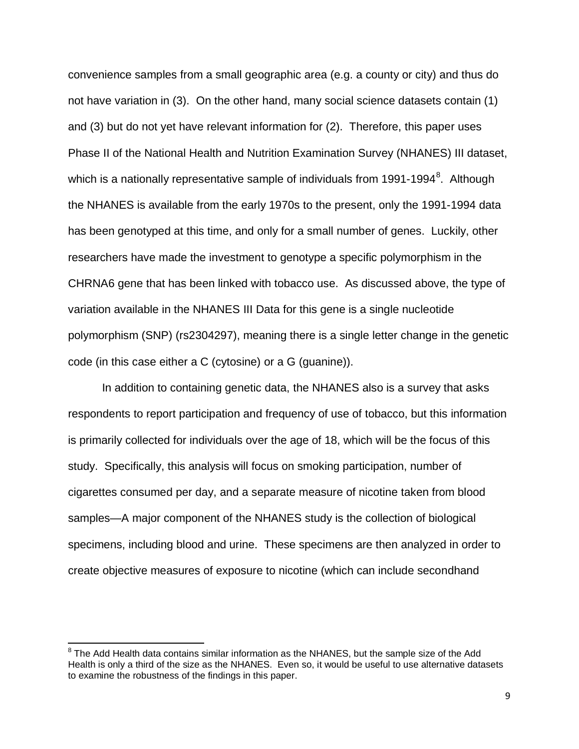convenience samples from a small geographic area (e.g. a county or city) and thus do not have variation in (3). On the other hand, many social science datasets contain (1) and (3) but do not yet have relevant information for (2). Therefore, this paper uses Phase II of the National Health and Nutrition Examination Survey (NHANES) III dataset, which is a nationally representative sample of individuals from 1991-1994<sup>[8](#page-8-0)</sup>. Although the NHANES is available from the early 1970s to the present, only the 1991-1994 data has been genotyped at this time, and only for a small number of genes. Luckily, other researchers have made the investment to genotype a specific polymorphism in the CHRNA6 gene that has been linked with tobacco use. As discussed above, the type of variation available in the NHANES III Data for this gene is a single nucleotide polymorphism (SNP) (rs2304297), meaning there is a single letter change in the genetic code (in this case either a C (cytosine) or a G (guanine)).

In addition to containing genetic data, the NHANES also is a survey that asks respondents to report participation and frequency of use of tobacco, but this information is primarily collected for individuals over the age of 18, which will be the focus of this study. Specifically, this analysis will focus on smoking participation, number of cigarettes consumed per day, and a separate measure of nicotine taken from blood samples—A major component of the NHANES study is the collection of biological specimens, including blood and urine. These specimens are then analyzed in order to create objective measures of exposure to nicotine (which can include secondhand

<span id="page-8-0"></span> $8$  The Add Health data contains similar information as the NHANES, but the sample size of the Add Health is only a third of the size as the NHANES. Even so, it would be useful to use alternative datasets to examine the robustness of the findings in this paper.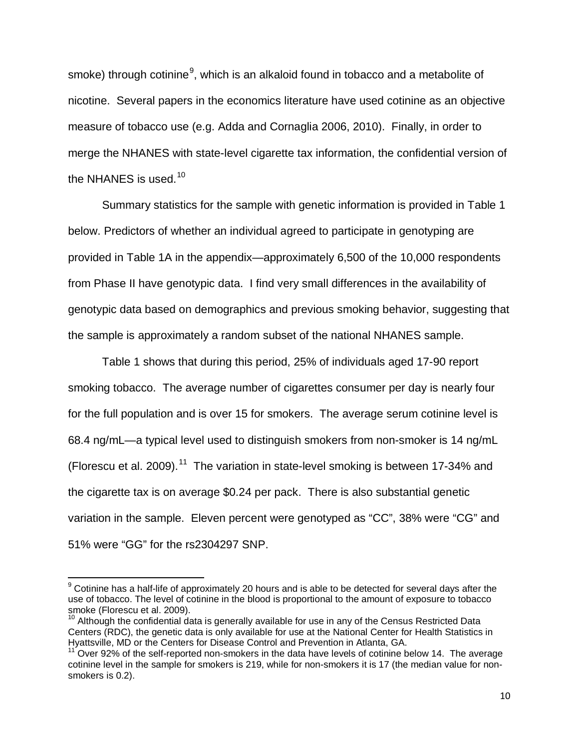smoke) through cotinine<sup>[9](#page-9-0)</sup>, which is an alkaloid found in tobacco and a metabolite of nicotine. Several papers in the economics literature have used cotinine as an objective measure of tobacco use (e.g. Adda and Cornaglia 2006, 2010). Finally, in order to merge the NHANES with state-level cigarette tax information, the confidential version of the NHANES is used.<sup>[10](#page-9-1)</sup>

Summary statistics for the sample with genetic information is provided in Table 1 below. Predictors of whether an individual agreed to participate in genotyping are provided in Table 1A in the appendix—approximately 6,500 of the 10,000 respondents from Phase II have genotypic data. I find very small differences in the availability of genotypic data based on demographics and previous smoking behavior, suggesting that the sample is approximately a random subset of the national NHANES sample.

Table 1 shows that during this period, 25% of individuals aged 17-90 report smoking tobacco. The average number of cigarettes consumer per day is nearly four for the full population and is over 15 for smokers. The average serum cotinine level is 68.4 ng/mL—a typical level used to distinguish smokers from non-smoker is 14 ng/mL (Florescu et al. 2009). $11$  The variation in state-level smoking is between 17-34% and the cigarette tax is on average \$0.24 per pack. There is also substantial genetic variation in the sample. Eleven percent were genotyped as "CC", 38% were "CG" and 51% were "GG" for the rs2304297 SNP.

<span id="page-9-0"></span> $9$  Cotinine has a half-life of approximately 20 hours and is able to be detected for several days after the use of tobacco. The level of cotinine in the blood is proportional to the amount of exposure to tobacco smoke (Florescu et al. 2009).

<span id="page-9-1"></span> $10$  Although the confidential data is generally available for use in any of the Census Restricted Data Centers (RDC), the genetic data is only available for use at the National Center for Health Statistics in Hyattsville, MD or the Centers for Disease Control and Prevention in Atlanta, GA.

<span id="page-9-2"></span> $11$ <sup>2</sup> Over 92% of the self-reported non-smokers in the data have levels of cotinine below 14. The average cotinine level in the sample for smokers is 219, while for non-smokers it is 17 (the median value for nonsmokers is 0.2).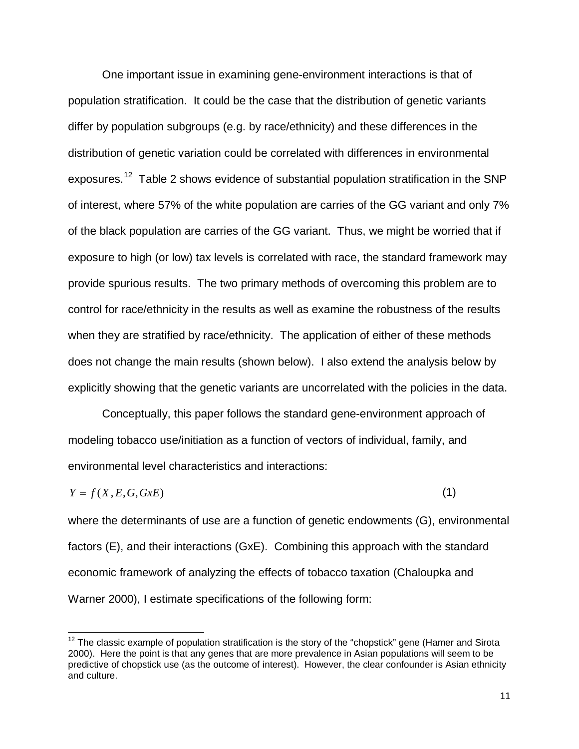One important issue in examining gene-environment interactions is that of population stratification. It could be the case that the distribution of genetic variants differ by population subgroups (e.g. by race/ethnicity) and these differences in the distribution of genetic variation could be correlated with differences in environmental exposures.<sup>[12](#page-10-0)</sup> Table 2 shows evidence of substantial population stratification in the SNP of interest, where 57% of the white population are carries of the GG variant and only 7% of the black population are carries of the GG variant. Thus, we might be worried that if exposure to high (or low) tax levels is correlated with race, the standard framework may provide spurious results. The two primary methods of overcoming this problem are to control for race/ethnicity in the results as well as examine the robustness of the results when they are stratified by race/ethnicity. The application of either of these methods does not change the main results (shown below). I also extend the analysis below by explicitly showing that the genetic variants are uncorrelated with the policies in the data.

Conceptually, this paper follows the standard gene-environment approach of modeling tobacco use/initiation as a function of vectors of individual, family, and environmental level characteristics and interactions:

$$
Y = f(X, E, G, GxE) \tag{1}
$$

where the determinants of use are a function of genetic endowments (G), environmental factors (E), and their interactions (GxE). Combining this approach with the standard economic framework of analyzing the effects of tobacco taxation (Chaloupka and Warner 2000), I estimate specifications of the following form:

<span id="page-10-0"></span> $12$  The classic example of population stratification is the story of the "chopstick" gene (Hamer and Sirota 2000). Here the point is that any genes that are more prevalence in Asian populations will seem to be predictive of chopstick use (as the outcome of interest). However, the clear confounder is Asian ethnicity and culture.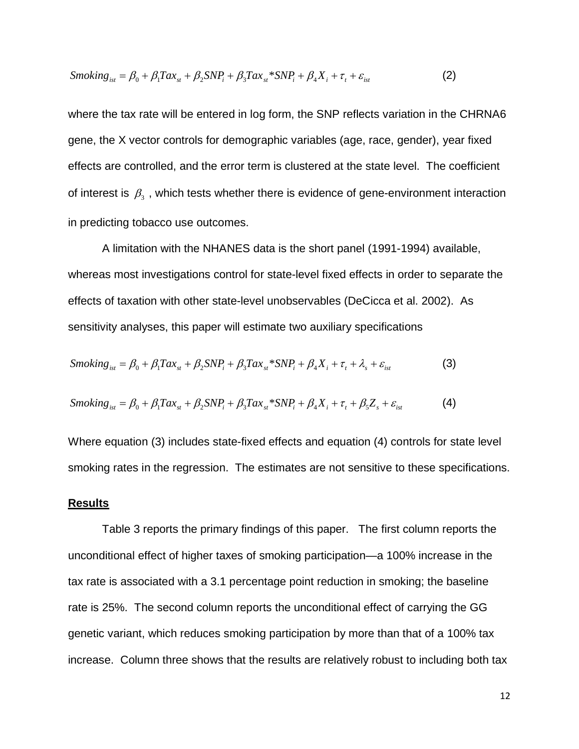$$
Smoking_{ist} = \beta_0 + \beta_1 Tax_{st} + \beta_2 SNP_i + \beta_3Tax_{st} * SNP_i + \beta_4X_i + \tau_t + \varepsilon_{ist}
$$
 (2)

where the tax rate will be entered in log form, the SNP reflects variation in the CHRNA6 gene, the X vector controls for demographic variables (age, race, gender), year fixed effects are controlled, and the error term is clustered at the state level. The coefficient of interest is  $\beta_3$ , which tests whether there is evidence of gene-environment interaction in predicting tobacco use outcomes.

 A limitation with the NHANES data is the short panel (1991-1994) available, whereas most investigations control for state-level fixed effects in order to separate the effects of taxation with other state-level unobservables (DeCicca et al. 2002). As sensitivity analyses, this paper will estimate two auxiliary specifications

$$
Smoking_{ist} = \beta_0 + \beta_1 Tax_{st} + \beta_2 SNP_i + \beta_3 Tax_{st}*SNP_i + \beta_4X_i + \tau_t + \lambda_s + \varepsilon_{ist}
$$
 (3)

$$
Smoking_{ist} = \beta_0 + \beta_1 Tax_{st} + \beta_2 SNP_i + \beta_3 Tax_{st}*SNP_i + \beta_4X_i + \tau_t + \beta_5Z_s + \varepsilon_{ist}
$$
 (4)

Where equation (3) includes state-fixed effects and equation (4) controls for state level smoking rates in the regression. The estimates are not sensitive to these specifications.

#### **Results**

Table 3 reports the primary findings of this paper. The first column reports the unconditional effect of higher taxes of smoking participation—a 100% increase in the tax rate is associated with a 3.1 percentage point reduction in smoking; the baseline rate is 25%. The second column reports the unconditional effect of carrying the GG genetic variant, which reduces smoking participation by more than that of a 100% tax increase. Column three shows that the results are relatively robust to including both tax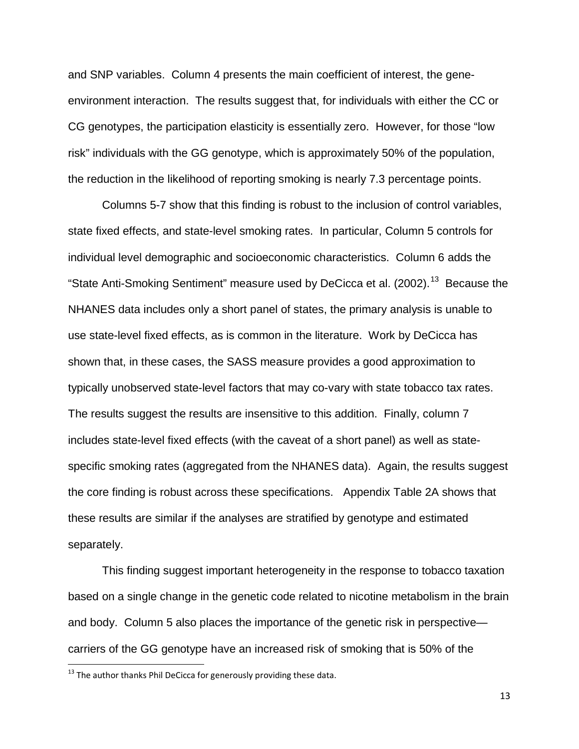and SNP variables. Column 4 presents the main coefficient of interest, the geneenvironment interaction. The results suggest that, for individuals with either the CC or CG genotypes, the participation elasticity is essentially zero. However, for those "low risk" individuals with the GG genotype, which is approximately 50% of the population, the reduction in the likelihood of reporting smoking is nearly 7.3 percentage points.

Columns 5-7 show that this finding is robust to the inclusion of control variables, state fixed effects, and state-level smoking rates. In particular, Column 5 controls for individual level demographic and socioeconomic characteristics. Column 6 adds the "State Anti-Smoking Sentiment" measure used by DeCicca et al. (2002).<sup>[13](#page-12-0)</sup> Because the NHANES data includes only a short panel of states, the primary analysis is unable to use state-level fixed effects, as is common in the literature. Work by DeCicca has shown that, in these cases, the SASS measure provides a good approximation to typically unobserved state-level factors that may co-vary with state tobacco tax rates. The results suggest the results are insensitive to this addition. Finally, column 7 includes state-level fixed effects (with the caveat of a short panel) as well as statespecific smoking rates (aggregated from the NHANES data). Again, the results suggest the core finding is robust across these specifications. Appendix Table 2A shows that these results are similar if the analyses are stratified by genotype and estimated separately.

This finding suggest important heterogeneity in the response to tobacco taxation based on a single change in the genetic code related to nicotine metabolism in the brain and body. Column 5 also places the importance of the genetic risk in perspective carriers of the GG genotype have an increased risk of smoking that is 50% of the

<span id="page-12-0"></span> $13$  The author thanks Phil DeCicca for generously providing these data.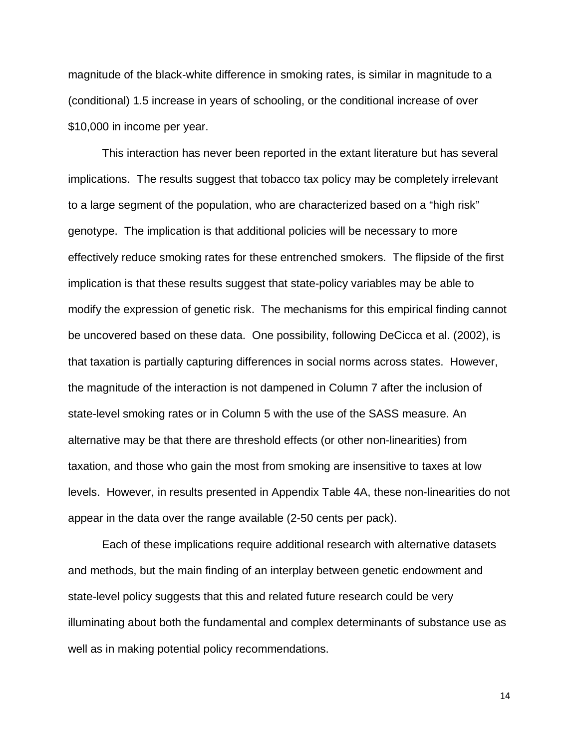magnitude of the black-white difference in smoking rates, is similar in magnitude to a (conditional) 1.5 increase in years of schooling, or the conditional increase of over \$10,000 in income per year.

This interaction has never been reported in the extant literature but has several implications. The results suggest that tobacco tax policy may be completely irrelevant to a large segment of the population, who are characterized based on a "high risk" genotype. The implication is that additional policies will be necessary to more effectively reduce smoking rates for these entrenched smokers. The flipside of the first implication is that these results suggest that state-policy variables may be able to modify the expression of genetic risk. The mechanisms for this empirical finding cannot be uncovered based on these data. One possibility, following DeCicca et al. (2002), is that taxation is partially capturing differences in social norms across states. However, the magnitude of the interaction is not dampened in Column 7 after the inclusion of state-level smoking rates or in Column 5 with the use of the SASS measure. An alternative may be that there are threshold effects (or other non-linearities) from taxation, and those who gain the most from smoking are insensitive to taxes at low levels. However, in results presented in Appendix Table 4A, these non-linearities do not appear in the data over the range available (2-50 cents per pack).

Each of these implications require additional research with alternative datasets and methods, but the main finding of an interplay between genetic endowment and state-level policy suggests that this and related future research could be very illuminating about both the fundamental and complex determinants of substance use as well as in making potential policy recommendations.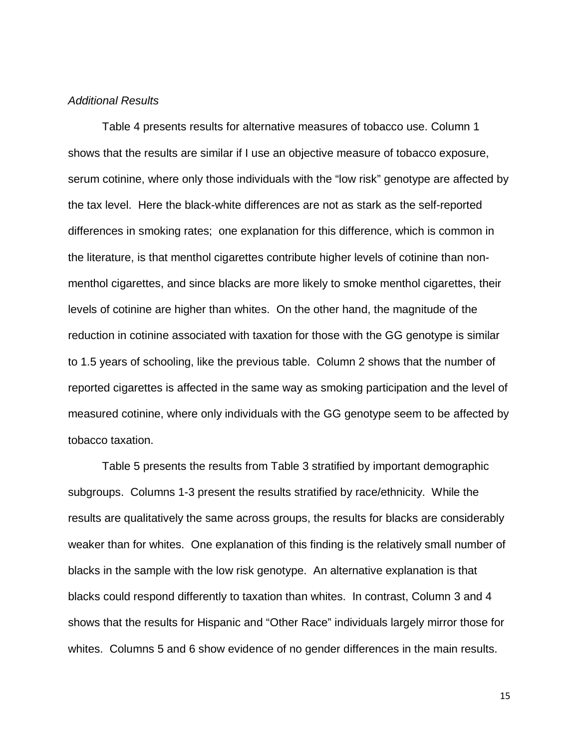#### *Additional Results*

Table 4 presents results for alternative measures of tobacco use. Column 1 shows that the results are similar if I use an objective measure of tobacco exposure, serum cotinine, where only those individuals with the "low risk" genotype are affected by the tax level. Here the black-white differences are not as stark as the self-reported differences in smoking rates; one explanation for this difference, which is common in the literature, is that menthol cigarettes contribute higher levels of cotinine than nonmenthol cigarettes, and since blacks are more likely to smoke menthol cigarettes, their levels of cotinine are higher than whites. On the other hand, the magnitude of the reduction in cotinine associated with taxation for those with the GG genotype is similar to 1.5 years of schooling, like the previous table. Column 2 shows that the number of reported cigarettes is affected in the same way as smoking participation and the level of measured cotinine, where only individuals with the GG genotype seem to be affected by tobacco taxation.

Table 5 presents the results from Table 3 stratified by important demographic subgroups. Columns 1-3 present the results stratified by race/ethnicity. While the results are qualitatively the same across groups, the results for blacks are considerably weaker than for whites. One explanation of this finding is the relatively small number of blacks in the sample with the low risk genotype. An alternative explanation is that blacks could respond differently to taxation than whites. In contrast, Column 3 and 4 shows that the results for Hispanic and "Other Race" individuals largely mirror those for whites. Columns 5 and 6 show evidence of no gender differences in the main results.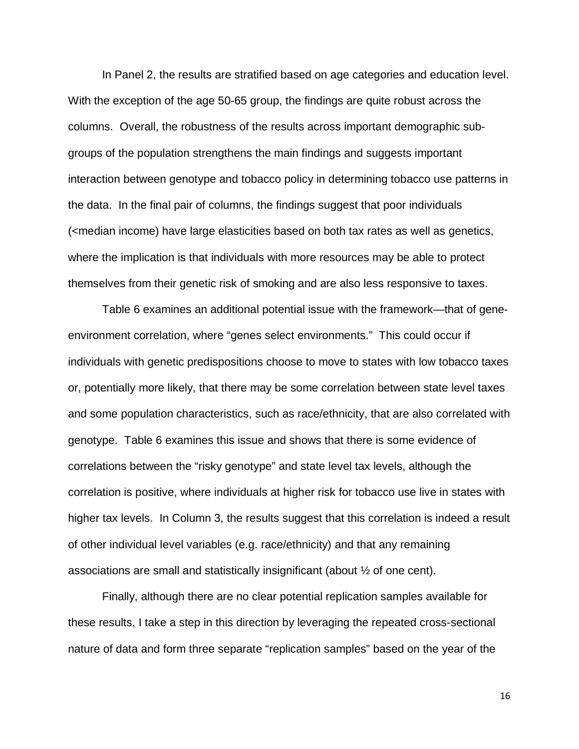In Panel 2, the results are stratified based on age categories and education level. With the exception of the age 50-65 group, the findings are quite robust across the columns. Overall, the robustness of the results across important demographic subgroups of the population strengthens the main findings and suggests important interaction between genotype and tobacco policy in determining tobacco use patterns in the data. In the final pair of columns, the findings suggest that poor individuals (<median income) have large elasticities based on both tax rates as well as genetics, where the implication is that individuals with more resources may be able to protect themselves from their genetic risk of smoking and are also less responsive to taxes.

Table 6 examines an additional potential issue with the framework—that of geneenvironment correlation, where "genes select environments." This could occur if individuals with genetic predispositions choose to move to states with low tobacco taxes or, potentially more likely, that there may be some correlation between state level taxes and some population characteristics, such as race/ethnicity, that are also correlated with genotype. Table 6 examines this issue and shows that there is some evidence of correlations between the "risky genotype" and state level tax levels, although the correlation is positive, where individuals at higher risk for tobacco use live in states with higher tax levels. In Column 3, the results suggest that this correlation is indeed a result of other individual level variables (e.g. race/ethnicity) and that any remaining associations are small and statistically insignificant (about ½ of one cent).

Finally, although there are no clear potential replication samples available for these results, I take a step in this direction by leveraging the repeated cross-sectional nature of data and form three separate "replication samples" based on the year of the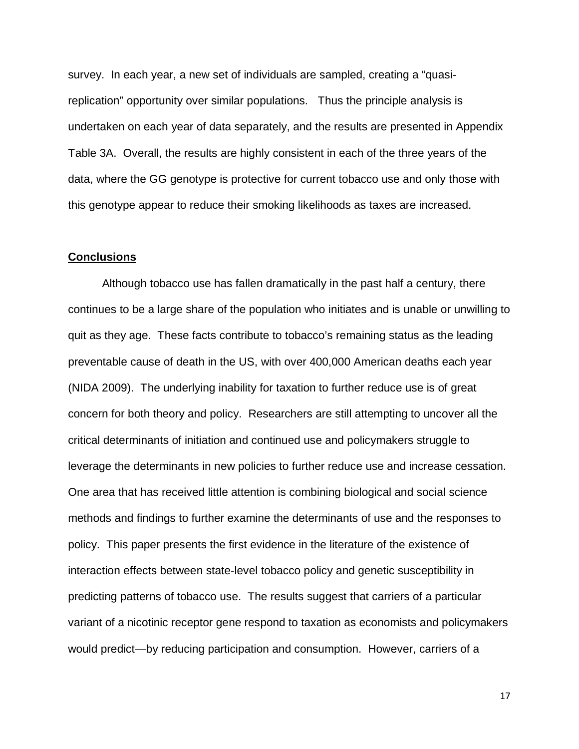survey. In each year, a new set of individuals are sampled, creating a "quasireplication" opportunity over similar populations. Thus the principle analysis is undertaken on each year of data separately, and the results are presented in Appendix Table 3A. Overall, the results are highly consistent in each of the three years of the data, where the GG genotype is protective for current tobacco use and only those with this genotype appear to reduce their smoking likelihoods as taxes are increased.

#### **Conclusions**

Although tobacco use has fallen dramatically in the past half a century, there continues to be a large share of the population who initiates and is unable or unwilling to quit as they age. These facts contribute to tobacco's remaining status as the leading preventable cause of death in the US, with over 400,000 American deaths each year (NIDA 2009). The underlying inability for taxation to further reduce use is of great concern for both theory and policy. Researchers are still attempting to uncover all the critical determinants of initiation and continued use and policymakers struggle to leverage the determinants in new policies to further reduce use and increase cessation. One area that has received little attention is combining biological and social science methods and findings to further examine the determinants of use and the responses to policy. This paper presents the first evidence in the literature of the existence of interaction effects between state-level tobacco policy and genetic susceptibility in predicting patterns of tobacco use. The results suggest that carriers of a particular variant of a nicotinic receptor gene respond to taxation as economists and policymakers would predict—by reducing participation and consumption. However, carriers of a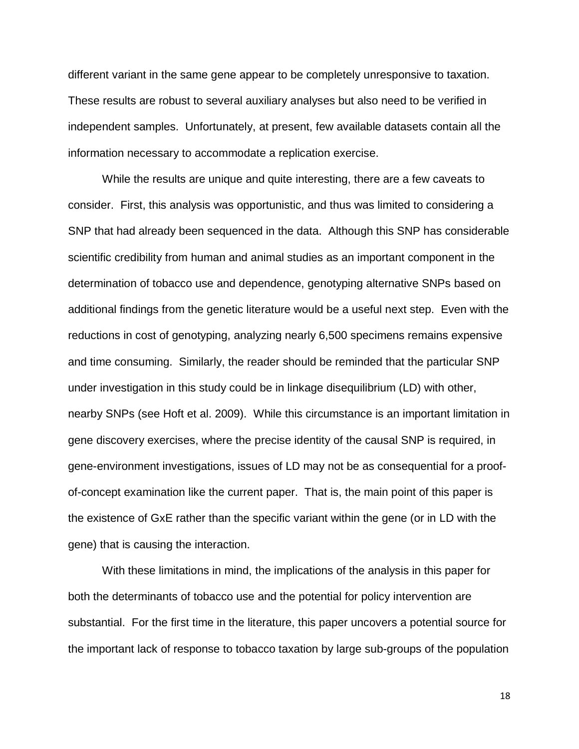different variant in the same gene appear to be completely unresponsive to taxation. These results are robust to several auxiliary analyses but also need to be verified in independent samples. Unfortunately, at present, few available datasets contain all the information necessary to accommodate a replication exercise.

While the results are unique and quite interesting, there are a few caveats to consider. First, this analysis was opportunistic, and thus was limited to considering a SNP that had already been sequenced in the data. Although this SNP has considerable scientific credibility from human and animal studies as an important component in the determination of tobacco use and dependence, genotyping alternative SNPs based on additional findings from the genetic literature would be a useful next step. Even with the reductions in cost of genotyping, analyzing nearly 6,500 specimens remains expensive and time consuming. Similarly, the reader should be reminded that the particular SNP under investigation in this study could be in linkage disequilibrium (LD) with other, nearby SNPs (see Hoft et al. 2009). While this circumstance is an important limitation in gene discovery exercises, where the precise identity of the causal SNP is required, in gene-environment investigations, issues of LD may not be as consequential for a proofof-concept examination like the current paper. That is, the main point of this paper is the existence of GxE rather than the specific variant within the gene (or in LD with the gene) that is causing the interaction.

With these limitations in mind, the implications of the analysis in this paper for both the determinants of tobacco use and the potential for policy intervention are substantial. For the first time in the literature, this paper uncovers a potential source for the important lack of response to tobacco taxation by large sub-groups of the population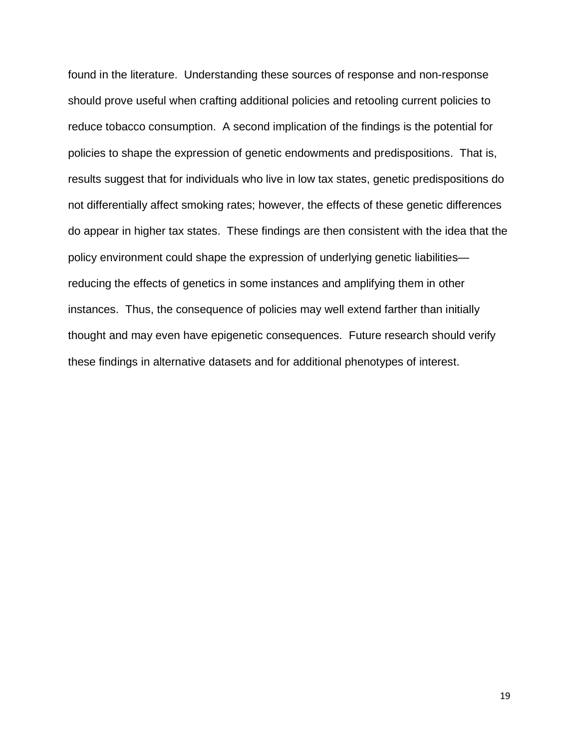found in the literature. Understanding these sources of response and non-response should prove useful when crafting additional policies and retooling current policies to reduce tobacco consumption. A second implication of the findings is the potential for policies to shape the expression of genetic endowments and predispositions. That is, results suggest that for individuals who live in low tax states, genetic predispositions do not differentially affect smoking rates; however, the effects of these genetic differences do appear in higher tax states. These findings are then consistent with the idea that the policy environment could shape the expression of underlying genetic liabilities reducing the effects of genetics in some instances and amplifying them in other instances. Thus, the consequence of policies may well extend farther than initially thought and may even have epigenetic consequences. Future research should verify these findings in alternative datasets and for additional phenotypes of interest.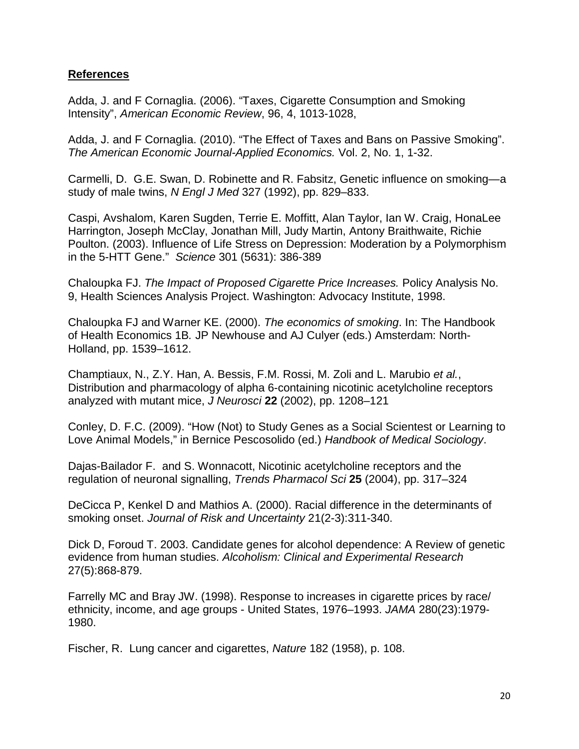## **References**

Adda, J. and F Cornaglia. (2006). "Taxes, Cigarette Consumption and Smoking Intensity", *American Economic Review*, 96, 4, 1013-1028,

Adda, J. and F Cornaglia. (2010). "The Effect of Taxes and Bans on Passive Smoking". *The American Economic Journal-Applied Economics.* Vol. 2, No. 1, 1-32.

Carmelli, D. G.E. Swan, D. Robinette and R. Fabsitz, Genetic influence on smoking—a study of male twins, *N Engl J Med* 327 (1992), pp. 829–833.

Caspi, Avshalom, Karen Sugden, Terrie E. Moffitt, Alan Taylor, Ian W. Craig, HonaLee Harrington, Joseph McClay, Jonathan Mill, Judy Martin, Antony Braithwaite, Richie Poulton. (2003). Influence of Life Stress on Depression: Moderation by a Polymorphism in the 5-HTT Gene." *Science* 301 (5631): 386-389

Chaloupka FJ. *The Impact of Proposed Cigarette Price Increases.* Policy Analysis No. 9, Health Sciences Analysis Project. Washington: Advocacy Institute, 1998.

Chaloupka FJ and Warner KE. (2000). *The economics of smoking*. In: The Handbook of Health Economics 1B*.* JP Newhouse and AJ Culyer (eds.) Amsterdam: North-Holland, pp. 1539–1612.

Champtiaux, N., Z.Y. Han, A. Bessis, F.M. Rossi, M. Zoli and L. Marubio *et al.*, Distribution and pharmacology of alpha 6-containing nicotinic acetylcholine receptors analyzed with mutant mice, *J Neurosci* **22** (2002), pp. 1208–121

Conley, D. F.C. (2009). "How (Not) to Study Genes as a Social Scientest or Learning to Love Animal Models," in Bernice Pescosolido (ed.) *Handbook of Medical Sociology*.

Dajas-Bailador F. and S. Wonnacott, Nicotinic acetylcholine receptors and the regulation of neuronal signalling, *Trends Pharmacol Sci* **25** (2004), pp. 317–324

DeCicca P, Kenkel D and Mathios A. (2000). Racial difference in the determinants of smoking onset. *Journal of Risk and Uncertainty* 21(2-3):311-340.

Dick D, Foroud T. 2003. Candidate genes for alcohol dependence: A Review of genetic evidence from human studies. *Alcoholism: Clinical and Experimental Research* 27(5):868-879.

Farrelly MC and Bray JW. (1998). Response to increases in cigarette prices by race/ ethnicity, income, and age groups - United States, 1976–1993. *JAMA* 280(23):1979- 1980.

Fischer, R. Lung cancer and cigarettes, *Nature* 182 (1958), p. 108.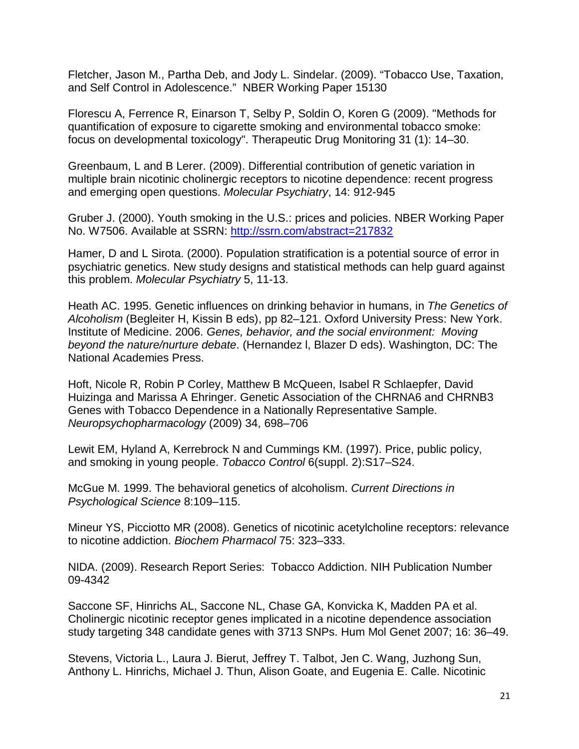Fletcher, Jason M., Partha Deb, and Jody L. Sindelar. (2009). "Tobacco Use, Taxation, and Self Control in Adolescence." NBER Working Paper 15130

Florescu A, Ferrence R, Einarson T, Selby P, Soldin O, Koren G (2009). "Methods for quantification of exposure to cigarette smoking and environmental tobacco smoke: focus on developmental toxicology". Therapeutic Drug Monitoring 31 (1): 14–30.

Greenbaum, L and B Lerer. (2009). Differential contribution of genetic variation in multiple brain nicotinic cholinergic receptors to nicotine dependence: recent progress and emerging open questions. *Molecular Psychiatry*, 14: 912-945

Gruber J. (2000). Youth smoking in the U.S.: prices and policies. NBER Working Paper No. W7506. Available at SSRN:<http://ssrn.com/abstract=217832>

Hamer, D and L Sirota. (2000). Population stratification is a potential source of error in psychiatric genetics. New study designs and statistical methods can help guard against this problem. *Molecular Psychiatry* 5, 11-13.

Heath AC. 1995. Genetic influences on drinking behavior in humans, in *The Genetics of Alcoholism* (Begleiter H, Kissin B eds), pp 82–121. Oxford University Press: New York. Institute of Medicine. 2006. *Genes, behavior, and the social environment: Moving beyond the nature/nurture debate*. (Hernandez l, Blazer D eds). Washington, DC: The National Academies Press.

Hoft, Nicole R, Robin P Corley, Matthew B McQueen, Isabel R Schlaepfer, David Huizinga and Marissa A Ehringer. Genetic Association of the CHRNA6 and CHRNB3 Genes with Tobacco Dependence in a Nationally Representative Sample. *Neuropsychopharmacology* (2009) 34, 698–706

Lewit EM, Hyland A, Kerrebrock N and Cummings KM. (1997). Price, public policy, and smoking in young people. *Tobacco Control* 6(suppl. 2):S17–S24.

McGue M. 1999. The behavioral genetics of alcoholism. *Current Directions in Psychological Science* 8:109–115.

Mineur YS, Picciotto MR (2008). Genetics of nicotinic acetylcholine receptors: relevance to nicotine addiction. *Biochem Pharmacol* 75: 323–333.

NIDA. (2009). Research Report Series: Tobacco Addiction. NIH Publication Number 09-4342

Saccone SF, Hinrichs AL, Saccone NL, Chase GA, Konvicka K, Madden PA et al. Cholinergic nicotinic receptor genes implicated in a nicotine dependence association study targeting 348 candidate genes with 3713 SNPs. Hum Mol Genet 2007; 16: 36–49.

Stevens, Victoria L., Laura J. Bierut, Jeffrey T. Talbot, Jen C. Wang, Juzhong Sun, Anthony L. Hinrichs, Michael J. Thun, Alison Goate, and Eugenia E. Calle. Nicotinic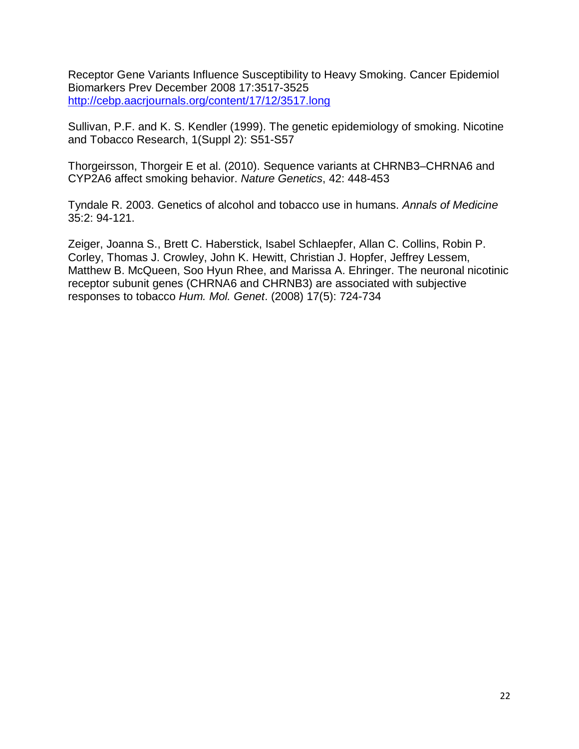Receptor Gene Variants Influence Susceptibility to Heavy Smoking. Cancer Epidemiol Biomarkers Prev December 2008 17:3517-3525 <http://cebp.aacrjournals.org/content/17/12/3517.long>

Sullivan, P.F. and K. S. Kendler (1999). The genetic epidemiology of smoking. Nicotine and Tobacco Research, 1(Suppl 2): S51-S57

Thorgeirsson, Thorgeir E et al. (2010). Sequence variants at CHRNB3–CHRNA6 and CYP2A6 affect smoking behavior. *Nature Genetics*, 42: 448-453

Tyndale R. 2003. Genetics of alcohol and tobacco use in humans. *Annals of Medicine* 35:2: 94-121.

Zeiger, Joanna S., Brett C. Haberstick, Isabel Schlaepfer, Allan C. Collins, Robin P. Corley, Thomas J. Crowley, John K. Hewitt, Christian J. Hopfer, Jeffrey Lessem, Matthew B. McQueen, Soo Hyun Rhee, and Marissa A. Ehringer. The neuronal nicotinic receptor subunit genes (CHRNA6 and CHRNB3) are associated with subjective responses to tobacco *Hum. Mol. Genet*. (2008) 17(5): 724-734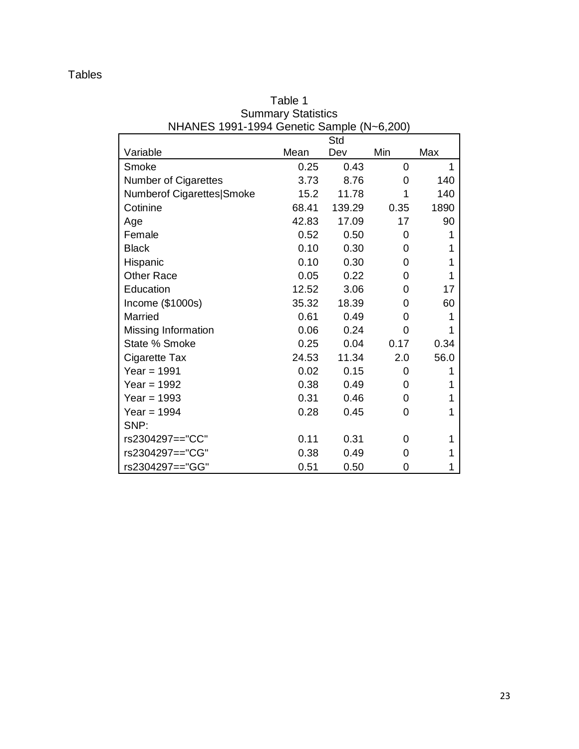| $\overline{1}$ in implement to the control of the transmitter $\overline{1}$ |       | Std    |      |      |
|------------------------------------------------------------------------------|-------|--------|------|------|
| Variable                                                                     | Mean  | Dev    | Min  | Max  |
| Smoke                                                                        | 0.25  | 0.43   | 0    | 1    |
| <b>Number of Cigarettes</b>                                                  | 3.73  | 8.76   | 0    | 140  |
| Numberof Cigarettes Smoke                                                    | 15.2  | 11.78  | 1    | 140  |
| Cotinine                                                                     | 68.41 | 139.29 | 0.35 | 1890 |
| Age                                                                          | 42.83 | 17.09  | 17   | 90   |
| Female                                                                       | 0.52  | 0.50   | 0    | 1    |
| <b>Black</b>                                                                 | 0.10  | 0.30   | 0    | 1    |
| Hispanic                                                                     | 0.10  | 0.30   | 0    | 1    |
| <b>Other Race</b>                                                            | 0.05  | 0.22   | 0    | 1    |
| Education                                                                    | 12.52 | 3.06   | 0    | 17   |
| Income (\$1000s)                                                             | 35.32 | 18.39  | 0    | 60   |
| Married                                                                      | 0.61  | 0.49   | 0    | 1    |
| Missing Information                                                          | 0.06  | 0.24   | 0    | 1    |
| State % Smoke                                                                | 0.25  | 0.04   | 0.17 | 0.34 |
| Cigarette Tax                                                                | 24.53 | 11.34  | 2.0  | 56.0 |
| Year = $1991$                                                                | 0.02  | 0.15   | 0    | 1    |
| Year = $1992$                                                                | 0.38  | 0.49   | 0    | 1    |
| Year = $1993$                                                                | 0.31  | 0.46   | 0    | 1    |
| Year = $1994$                                                                | 0.28  | 0.45   | 0    | 1    |
| SNP:                                                                         |       |        |      |      |
| rs2304297=="CC"                                                              | 0.11  | 0.31   | 0    | 1    |
| rs2304297=="CG"                                                              | 0.38  | 0.49   | 0    | 1    |
| rs2304297=="GG"                                                              | 0.51  | 0.50   | 0    | 1    |

Table 1 Summary Statistics NHANES 1991-1994 Genetic Sample (N~6,200)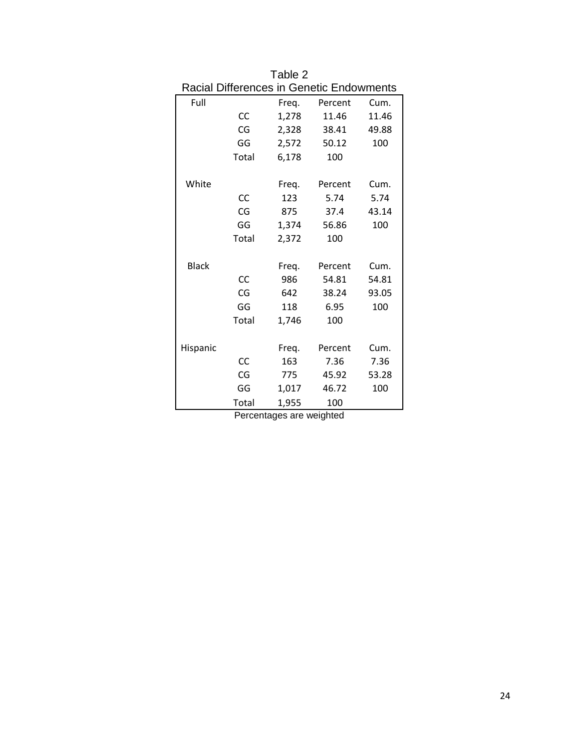|              |       |       | <b>Racial Differences in Genetic Endowments</b> |       |
|--------------|-------|-------|-------------------------------------------------|-------|
| Full         |       | Freg. | Percent                                         | Cum.  |
|              | CC    | 1,278 | 11.46                                           | 11.46 |
|              | CG    | 2,328 | 38.41                                           | 49.88 |
|              | GG    | 2,572 | 50.12                                           | 100   |
|              | Total | 6,178 | 100                                             |       |
| White        |       | Freq. | Percent                                         | Cum.  |
|              | CC    | 123   | 5.74                                            | 5.74  |
|              | CG    | 875   | 37.4                                            | 43.14 |
|              | GG    | 1,374 | 56.86                                           | 100   |
|              | Total | 2,372 | 100                                             |       |
| <b>Black</b> |       | Freq. | Percent                                         | Cum.  |
|              | CC    | 986   | 54.81                                           | 54.81 |
|              | CG    | 642   | 38.24                                           | 93.05 |
|              | GG    | 118   | 6.95                                            | 100   |
|              | Total | 1,746 | 100                                             |       |
| Hispanic     |       | Freg. | Percent                                         | Cum.  |
|              | CC    | 163   | 7.36                                            | 7.36  |
|              | CG    | 775   | 45.92                                           | 53.28 |
|              | GG    | 1,017 | 46.72                                           | 100   |
|              | Total | 1,955 | 100                                             |       |

| Table 2<br><b>Racial Differences in Genetic Endowments</b> |     |       |            |               |  |  |
|------------------------------------------------------------|-----|-------|------------|---------------|--|--|
| Full                                                       |     | Freg. | Percent    | Cum.          |  |  |
|                                                            | CC. | 1.278 | 11.46      | 11.46         |  |  |
|                                                            |     | 333 Q | . <i>.</i> | $\sim$ $\sim$ |  |  |

Percentages are weighted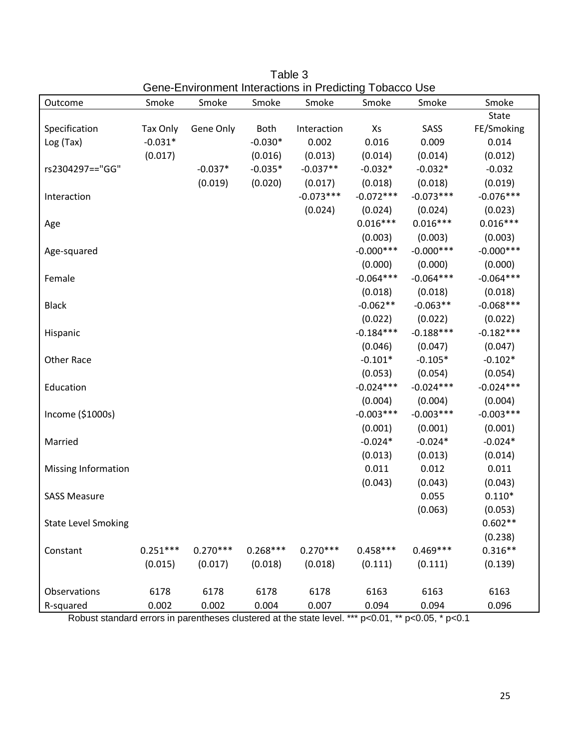| Outcome                    | Smoke      | Smoke      | Smoke      | Smoke       | Smoke       | Smoke       | Smoke        |
|----------------------------|------------|------------|------------|-------------|-------------|-------------|--------------|
|                            |            |            |            |             |             |             | <b>State</b> |
| Specification              | Tax Only   | Gene Only  | Both       | Interaction | Xs          | SASS        | FE/Smoking   |
| Log(Tax)                   | $-0.031*$  |            | $-0.030*$  | 0.002       | 0.016       | 0.009       | 0.014        |
|                            | (0.017)    |            | (0.016)    | (0.013)     | (0.014)     | (0.014)     | (0.012)      |
| rs2304297 == "GG"          |            | $-0.037*$  | $-0.035*$  | $-0.037**$  | $-0.032*$   | $-0.032*$   | $-0.032$     |
|                            |            | (0.019)    | (0.020)    | (0.017)     | (0.018)     | (0.018)     | (0.019)      |
| Interaction                |            |            |            | $-0.073***$ | $-0.072***$ | $-0.073***$ | $-0.076***$  |
|                            |            |            |            | (0.024)     | (0.024)     | (0.024)     | (0.023)      |
| Age                        |            |            |            |             | $0.016***$  | $0.016***$  | $0.016***$   |
|                            |            |            |            |             | (0.003)     | (0.003)     | (0.003)      |
| Age-squared                |            |            |            |             | $-0.000***$ | $-0.000***$ | $-0.000***$  |
|                            |            |            |            |             | (0.000)     | (0.000)     | (0.000)      |
| Female                     |            |            |            |             | $-0.064***$ | $-0.064***$ | $-0.064***$  |
|                            |            |            |            |             | (0.018)     | (0.018)     | (0.018)      |
| <b>Black</b>               |            |            |            |             | $-0.062**$  | $-0.063**$  | $-0.068***$  |
|                            |            |            |            |             | (0.022)     | (0.022)     | (0.022)      |
| Hispanic                   |            |            |            |             | $-0.184***$ | $-0.188***$ | $-0.182***$  |
|                            |            |            |            |             | (0.046)     | (0.047)     | (0.047)      |
| Other Race                 |            |            |            |             | $-0.101*$   | $-0.105*$   | $-0.102*$    |
|                            |            |            |            |             | (0.053)     | (0.054)     | (0.054)      |
| Education                  |            |            |            |             | $-0.024***$ | $-0.024***$ | $-0.024***$  |
|                            |            |            |            |             | (0.004)     | (0.004)     | (0.004)      |
| Income (\$1000s)           |            |            |            |             | $-0.003***$ | $-0.003***$ | $-0.003***$  |
|                            |            |            |            |             | (0.001)     | (0.001)     | (0.001)      |
| Married                    |            |            |            |             | $-0.024*$   | $-0.024*$   | $-0.024*$    |
|                            |            |            |            |             | (0.013)     | (0.013)     | (0.014)      |
| <b>Missing Information</b> |            |            |            |             | 0.011       | 0.012       | 0.011        |
|                            |            |            |            |             | (0.043)     | (0.043)     | (0.043)      |
| <b>SASS Measure</b>        |            |            |            |             |             | 0.055       | $0.110*$     |
|                            |            |            |            |             |             | (0.063)     | (0.053)      |
| <b>State Level Smoking</b> |            |            |            |             |             |             | $0.602**$    |
|                            |            |            |            |             |             |             | (0.238)      |
| Constant                   | $0.251***$ | $0.270***$ | $0.268***$ | $0.270***$  | $0.458***$  | $0.469***$  | $0.316**$    |
|                            | (0.015)    | (0.017)    | (0.018)    | (0.018)     | (0.111)     | (0.111)     | (0.139)      |
|                            |            |            |            |             |             |             |              |
| Observations               | 6178       | 6178       | 6178       | 6178        | 6163        | 6163        | 6163         |
| R-squared                  | 0.002      | 0.002      | 0.004      | 0.007       | 0.094       | 0.094       | 0.096        |

Table 3 Gene-Environment Interactions in Predicting Tobacco Use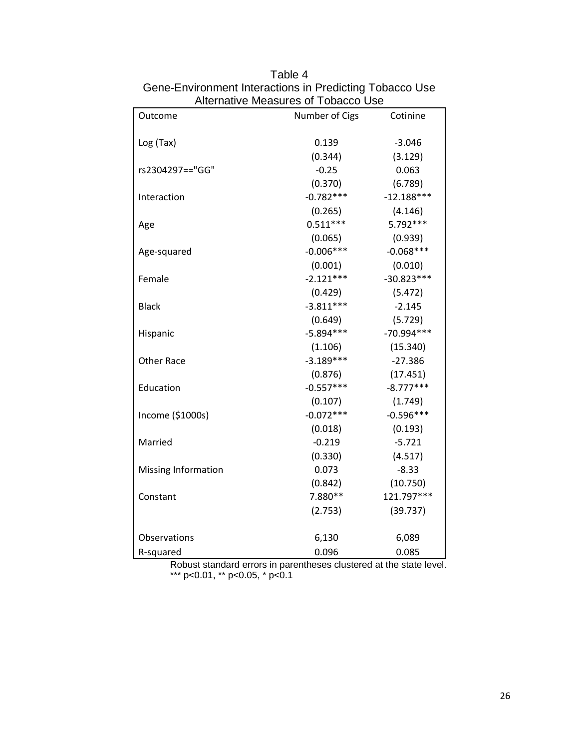| Outcome             | Number of Cigs | Cotinine     |
|---------------------|----------------|--------------|
|                     |                |              |
| Log (Tax)           | 0.139          | $-3.046$     |
|                     | (0.344)        | (3.129)      |
| rs2304297=="GG"     | $-0.25$        | 0.063        |
|                     | (0.370)        | (6.789)      |
| Interaction         | $-0.782***$    | $-12.188***$ |
|                     | (0.265)        | (4.146)      |
| Age                 | $0.511***$     | 5.792***     |
|                     | (0.065)        | (0.939)      |
| Age-squared         | $-0.006***$    | $-0.068***$  |
|                     | (0.001)        | (0.010)      |
| Female              | $-2.121***$    | $-30.823***$ |
|                     | (0.429)        | (5.472)      |
| <b>Black</b>        | $-3.811***$    | $-2.145$     |
|                     | (0.649)        | (5.729)      |
| Hispanic            | $-5.894***$    | $-70.994***$ |
|                     | (1.106)        | (15.340)     |
| <b>Other Race</b>   | $-3.189***$    | $-27.386$    |
|                     | (0.876)        | (17.451)     |
| Education           | $-0.557***$    | $-8.777***$  |
|                     | (0.107)        | (1.749)      |
| Income (\$1000s)    | $-0.072***$    | $-0.596***$  |
|                     | (0.018)        | (0.193)      |
| Married             | $-0.219$       | $-5.721$     |
|                     | (0.330)        | (4.517)      |
| Missing Information | 0.073          | $-8.33$      |
|                     | (0.842)        | (10.750)     |
| Constant            | 7.880**        | 121.797***   |
|                     | (2.753)        | (39.737)     |
| Observations        | 6,130          | 6,089        |
| R-squared           | 0.096          | 0.085        |

Table 4 Gene-Environment Interactions in Predicting Tobacco Use Alternative Measures of Tobacco Use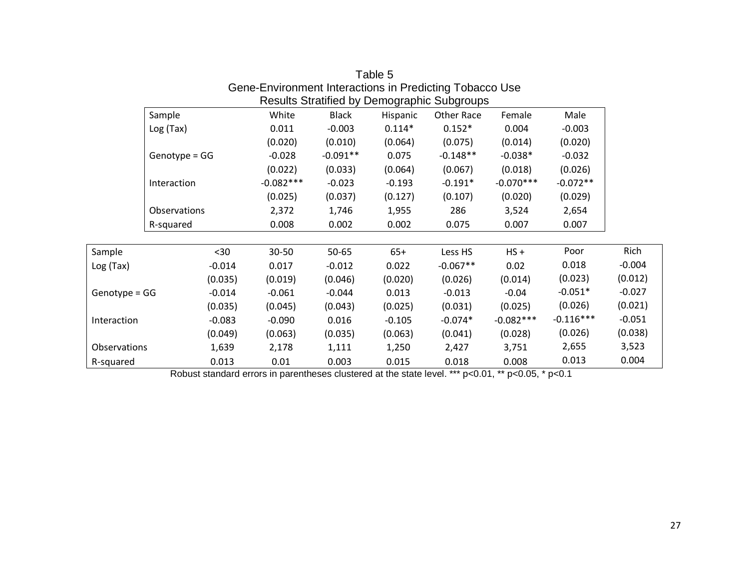|               |                     |          |             |              |          | results otrainied by Demographic oubgroups |             |             |          |
|---------------|---------------------|----------|-------------|--------------|----------|--------------------------------------------|-------------|-------------|----------|
|               | Sample              |          | White       | <b>Black</b> | Hispanic | Other Race                                 | Female      | Male        |          |
|               | Log(Tax)            |          | 0.011       | $-0.003$     | $0.114*$ | $0.152*$                                   | 0.004       | $-0.003$    |          |
|               |                     |          | (0.020)     | (0.010)      | (0.064)  | (0.075)                                    | (0.014)     | (0.020)     |          |
|               | $Genotype = GG$     |          | $-0.028$    | $-0.091**$   | 0.075    | $-0.148**$                                 | $-0.038*$   | $-0.032$    |          |
|               |                     |          | (0.022)     | (0.033)      | (0.064)  | (0.067)                                    | (0.018)     | (0.026)     |          |
|               | Interaction         |          | $-0.082***$ | $-0.023$     | $-0.193$ | $-0.191*$                                  | $-0.070***$ | $-0.072**$  |          |
|               |                     |          | (0.025)     | (0.037)      | (0.127)  | (0.107)                                    | (0.020)     | (0.029)     |          |
|               | <b>Observations</b> |          | 2,372       | 1,746        | 1,955    | 286                                        | 3,524       | 2,654       |          |
|               | R-squared           |          | 0.008       | 0.002        | 0.002    | 0.075                                      | 0.007       | 0.007       |          |
|               |                     |          |             |              |          |                                            |             |             |          |
| Sample        |                     | $30$     | 30-50       | $50 - 65$    | $65+$    | Less HS                                    | $HS +$      | Poor        | Rich     |
| Log (Tax)     |                     | $-0.014$ | 0.017       | $-0.012$     | 0.022    | $-0.067**$                                 | 0.02        | 0.018       | $-0.004$ |
|               |                     | (0.035)  | (0.019)     | (0.046)      | (0.020)  | (0.026)                                    | (0.014)     | (0.023)     | (0.012)  |
| Genotype = GG |                     | $-0.014$ | $-0.061$    | $-0.044$     | 0.013    | $-0.013$                                   | $-0.04$     | $-0.051*$   | $-0.027$ |
|               |                     | (0.035)  | (0.045)     | (0.043)      | (0.025)  | (0.031)                                    | (0.025)     | (0.026)     | (0.021)  |
| Interaction   |                     | $-0.083$ | $-0.090$    | 0.016        | $-0.105$ | $-0.074*$                                  | $-0.082***$ | $-0.116***$ | $-0.051$ |
|               |                     | (0.049)  | (0.063)     | (0.035)      | (0.063)  | (0.041)                                    | (0.028)     | (0.026)     | (0.038)  |
| Observations  |                     | 1,639    | 2,178       | 1,111        | 1,250    | 2,427                                      | 3,751       | 2,655       | 3,523    |
| R-squared     |                     | 0.013    | 0.01        | 0.003        | 0.015    | 0.018                                      | 0.008       | 0.013       | 0.004    |

Table 5 Gene-Environment Interactions in Predicting Tobacco Use Results Stratified by Demographic Subgroups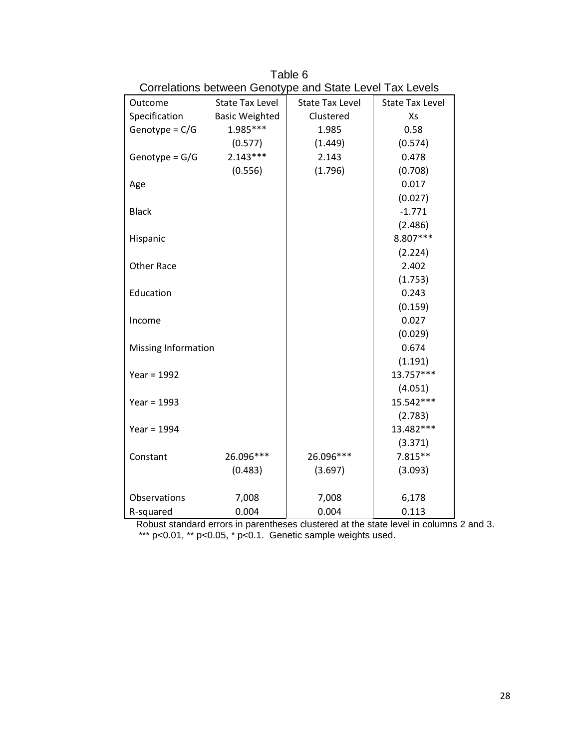| Outcome                    | <b>State Tax Level</b> | <b>State Tax Level</b> | <b>State Tax Level</b> |
|----------------------------|------------------------|------------------------|------------------------|
| Specification              | <b>Basic Weighted</b>  | Clustered              | Xs                     |
| Genotype = $C/G$           | 1.985***               | 1.985                  | 0.58                   |
|                            | (0.577)                | (1.449)                | (0.574)                |
| Genotype = $G/G$           | $2.143***$             | 2.143                  | 0.478                  |
|                            | (0.556)                | (1.796)                | (0.708)                |
| Age                        |                        |                        | 0.017                  |
|                            |                        |                        | (0.027)                |
| <b>Black</b>               |                        |                        | $-1.771$               |
|                            |                        |                        | (2.486)                |
| Hispanic                   |                        |                        | 8.807***               |
|                            |                        |                        | (2.224)                |
| <b>Other Race</b>          |                        |                        | 2.402                  |
|                            |                        |                        | (1.753)                |
| Education                  |                        |                        | 0.243                  |
|                            |                        |                        | (0.159)                |
| Income                     |                        |                        | 0.027                  |
|                            |                        |                        | (0.029)                |
| <b>Missing Information</b> |                        |                        | 0.674                  |
|                            |                        |                        | (1.191)                |
| Year = $1992$              |                        |                        | 13.757***              |
|                            |                        |                        | (4.051)                |
| Year = $1993$              |                        |                        | 15.542***              |
|                            |                        |                        | (2.783)                |
| Year = $1994$              |                        |                        | 13.482***              |
|                            |                        |                        | (3.371)                |
| Constant                   | 26.096***              | 26.096***              | $7.815**$              |
|                            | (0.483)                | (3.697)                | (3.093)                |
| Observations               | 7,008                  | 7,008                  | 6,178                  |
| R-squared                  | 0.004                  | 0.004                  | 0.113                  |

Table 6 Correlations between Genotype and State Level Tax Levels

Robust standard errors in parentheses clustered at the state level in columns 2 and 3. \*\*\* p<0.01, \*\* p<0.05, \* p<0.1. Genetic sample weights used.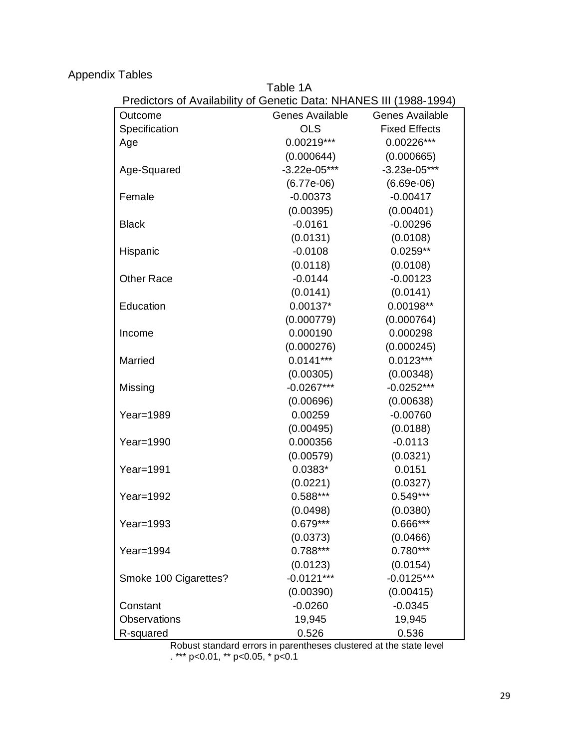Appendix Tables

Table 1A

| Predictors of Availability of Genetic Data: NHANES III (1988-1994) |                        |                        |
|--------------------------------------------------------------------|------------------------|------------------------|
| Outcome                                                            | <b>Genes Available</b> | <b>Genes Available</b> |
| Specification                                                      | <b>OLS</b>             | <b>Fixed Effects</b>   |
| Age                                                                | $0.00219***$           | 0.00226***             |
|                                                                    | (0.000644)             | (0.000665)             |
| Age-Squared                                                        | $-3.22e-05***$         | $-3.23e-05***$         |
|                                                                    | $(6.77e-06)$           | $(6.69e-06)$           |
| Female                                                             | $-0.00373$             | $-0.00417$             |
|                                                                    | (0.00395)              | (0.00401)              |
| <b>Black</b>                                                       | $-0.0161$              | $-0.00296$             |
|                                                                    | (0.0131)               | (0.0108)               |
| Hispanic                                                           | $-0.0108$              | $0.0259**$             |
|                                                                    | (0.0118)               | (0.0108)               |
| <b>Other Race</b>                                                  | $-0.0144$              | $-0.00123$             |
|                                                                    | (0.0141)               | (0.0141)               |
| Education                                                          | $0.00137*$             | 0.00198**              |
|                                                                    | (0.000779)             | (0.000764)             |
| Income                                                             | 0.000190               | 0.000298               |
|                                                                    | (0.000276)             | (0.000245)             |
| Married                                                            | $0.0141***$            | $0.0123***$            |
|                                                                    | (0.00305)              | (0.00348)              |
| Missing                                                            | $-0.0267***$           | $-0.0252***$           |
|                                                                    | (0.00696)              | (0.00638)              |
| Year=1989                                                          | 0.00259                | $-0.00760$             |
|                                                                    | (0.00495)              | (0.0188)               |
| Year=1990                                                          | 0.000356               | $-0.0113$              |
|                                                                    | (0.00579)              | (0.0321)               |
| Year=1991                                                          | $0.0383*$              | 0.0151                 |
|                                                                    | (0.0221)               | (0.0327)               |
| Year=1992                                                          | $0.588***$             | $0.549***$             |
|                                                                    | (0.0498)               | (0.0380)               |
| Year=1993                                                          | $0.679***$             | 0.666***               |
|                                                                    | (0.0373)               | (0.0466)               |
| Year=1994                                                          | $0.788***$             | $0.780***$             |
|                                                                    | (0.0123)               | (0.0154)               |
| Smoke 100 Cigarettes?                                              | $-0.0121***$           | $-0.0125***$           |
|                                                                    | (0.00390)              | (0.00415)              |
| Constant                                                           | $-0.0260$              | $-0.0345$              |
| <b>Observations</b>                                                | 19,945                 | 19,945                 |
| R-squared                                                          | 0.526                  | 0.536                  |

Robust standard errors in parentheses clustered at the state level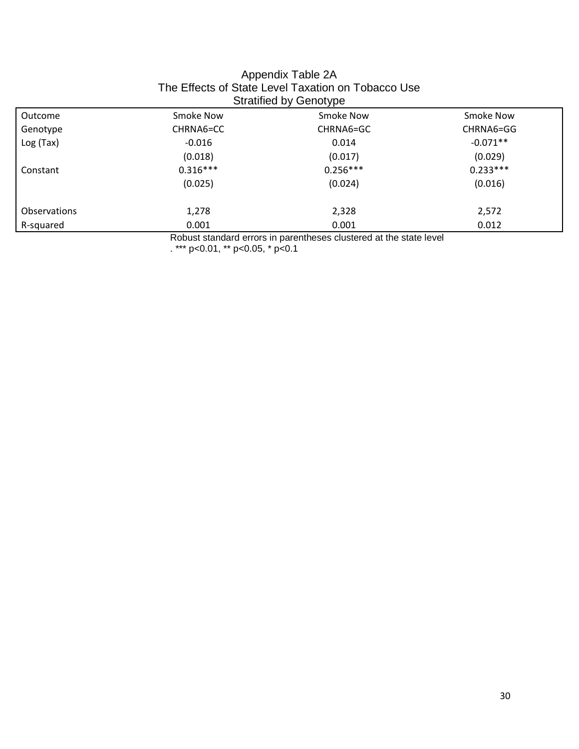| The Effects of State Level Taxation on Tobacco Use<br><b>Stratified by Genotype</b> |            |            |            |  |  |
|-------------------------------------------------------------------------------------|------------|------------|------------|--|--|
| Outcome                                                                             | Smoke Now  | Smoke Now  | Smoke Now  |  |  |
| Genotype                                                                            | CHRNA6=CC  | CHRNA6=GC  | CHRNA6=GG  |  |  |
| Log(Tax)                                                                            | $-0.016$   | 0.014      | $-0.071**$ |  |  |
|                                                                                     | (0.018)    | (0.017)    | (0.029)    |  |  |
| Constant                                                                            | $0.316***$ | $0.256***$ | $0.233***$ |  |  |
|                                                                                     | (0.025)    | (0.024)    | (0.016)    |  |  |
| <b>Observations</b>                                                                 | 1,278      | 2,328      | 2,572      |  |  |
| R-squared                                                                           | 0.001      | 0.001      | 0.012      |  |  |

## Appendix Table 2A The Effects of State Level Taxation on Tobacco Use

Robust standard errors in parentheses clustered at the state level

. \*\*\* p<0.01, \*\* p<0.05, \* p<0.1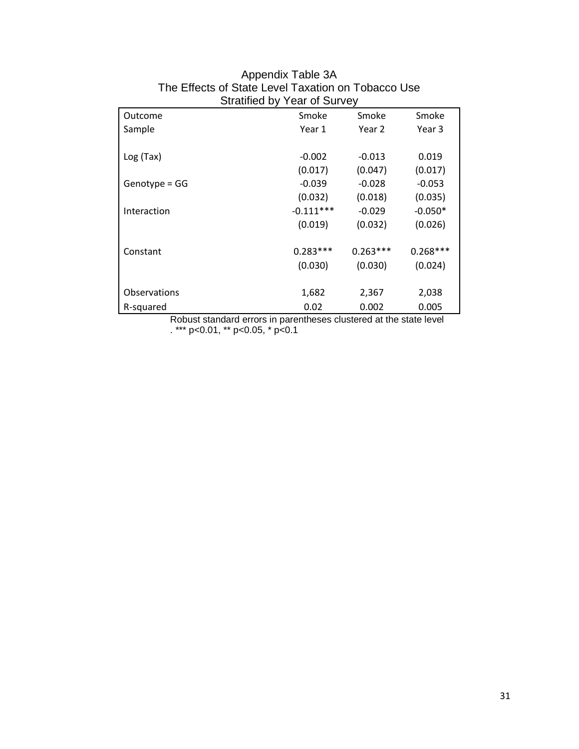| <b>Ottallition</b> is the convey |             |            |            |
|----------------------------------|-------------|------------|------------|
| Outcome                          | Smoke       | Smoke      | Smoke      |
| Sample                           | Year 1      | Year 2     | Year 3     |
|                                  |             |            |            |
| Log(Tax)                         | $-0.002$    | $-0.013$   | 0.019      |
|                                  | (0.017)     | (0.047)    | (0.017)    |
| $Genotype = GG$                  | $-0.039$    | $-0.028$   | $-0.053$   |
|                                  | (0.032)     | (0.018)    | (0.035)    |
| Interaction                      | $-0.111***$ | $-0.029$   | $-0.050*$  |
|                                  | (0.019)     | (0.032)    | (0.026)    |
|                                  |             |            |            |
| Constant                         | $0.283***$  | $0.263***$ | $0.268***$ |
|                                  | (0.030)     | (0.030)    | (0.024)    |
|                                  |             |            |            |
| Observations                     | 1,682       | 2,367      | 2,038      |
| R-squared                        | 0.02        | 0.002      | 0.005      |

### Appendix Table 3A The Effects of State Level Taxation on Tobacco Use Stratified by Year of Survey